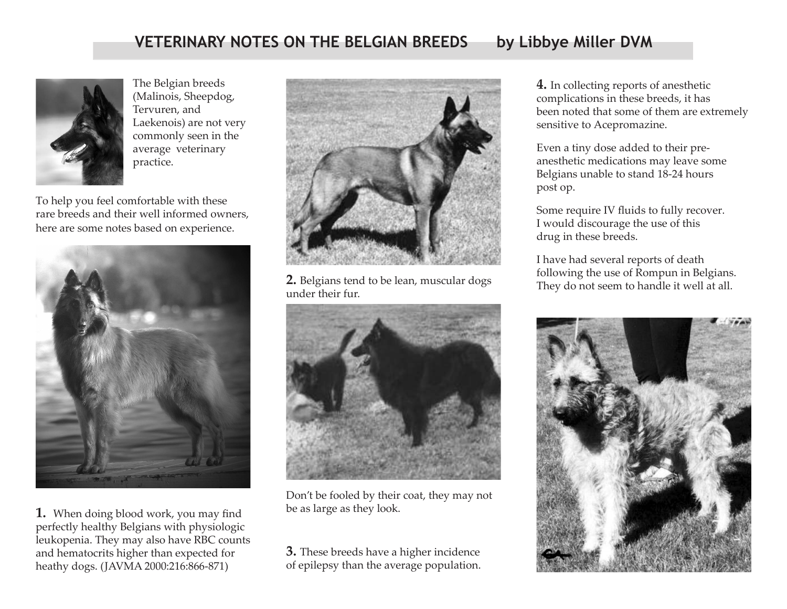## **VETERINARY NOTES ON THE BELGIAN BREEDS by Libbye Miller DVM**



The Belgian breeds (Malinois, Sheepdog, Tervuren, and Laekenois) are not very commonly seen in the average veterinary practice.

To help you feel comfortable with these rare breeds and their well informed owners, here are some notes based on experience.



1. When doing blood work, you may find perfectly healthy Belgians with physiologic leukopenia. They may also have RBC counts and hematocrits higher than expected for heathy dogs. (JAVMA 2000:216:866-871)



**2.** Belgians tend to be lean, muscular dogs under their fur.



Don't be fooled by their coat, they may not be as large as they look.

**3.** These breeds have a higher incidence of epilepsy than the average population.

**4.** In collecting reports of anesthetic complications in these breeds, it has been noted that some of them are extremely sensitive to Acepromazine.

Even a tiny dose added to their preanesthetic medications may leave some Belgians unable to stand 18-24 hours post op.

Some require IV fluids to fully recover. I would discourage the use of this drug in these breeds.

I have had several reports of death following the use of Rompun in Belgians. They do not seem to handle it well at all.